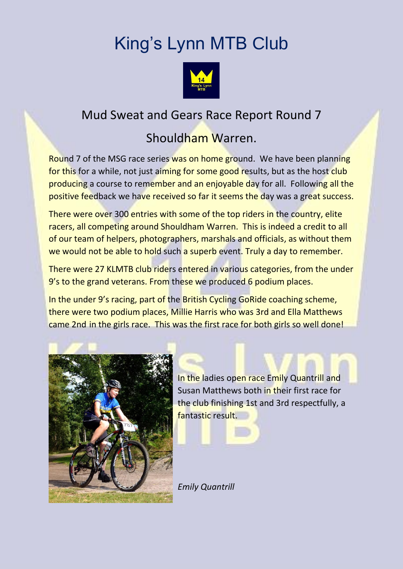## King's Lynn MTB Club



## Mud Sweat and Gears Race Report Round 7

## Shouldham Warren.

Round 7 of the MSG race series was on home ground. We have been planning for this for a while, not just aiming for some good results, but as the host club producing a course to remember and an enjoyable day for all. Following all the positive feedback we have received so far it seems the day was a great success.

There were over 300 entries with some of the top riders in the country, elite racers, all competing around Shouldham Warren. This is indeed a credit to all of our team of helpers, photographers, marshals and officials, as without them we would not be able to hold such a superb event. Truly a day to remember.

There were 27 KLMTB club riders entered in various categories, from the under 9's to the grand veterans. From these we produced 6 podium places.

In the under 9's racing, part of the British Cycling GoRide coaching scheme, there were two podium places, Millie Harris who was 3rd and Ella Matthews came 2nd in the girls race. This was the first race for both girls so well done!



In the ladies open race Emily Quantrill and Susan Matthews both in their first race for the club finishing 1st and 3rd respectfully, a fantastic result.

*Emily Quantrill*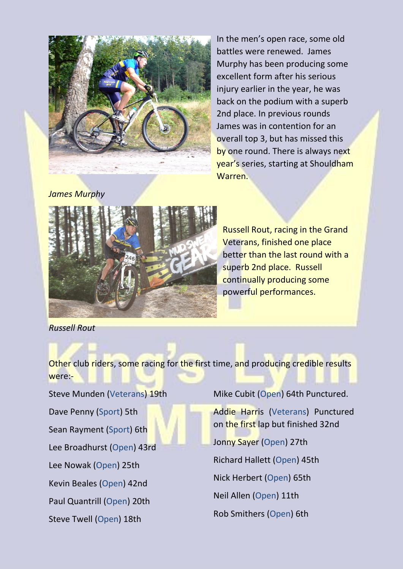

In the men's open race, some old battles were renewed. James Murphy has been producing some excellent form after his serious injury earlier in the year, he was back on the podium with a superb 2nd place. In previous rounds James was in contention for an overall top 3, but has missed this by one round. There is always next year's series, starting at Shouldham Warren.

*James Murphy*



Russell Rout, racing in the Grand Veterans, finished one place better than the last round with a superb 2nd place. Russell continually producing some powerful performances.

*Russell Rout*

Other club riders, some racing for the first time, and producing credible results were:-

Steve Munden (Veterans) 19th Dave Penny (Sport) 5th Sean Rayment (Sport) 6th Lee Broadhurst (Open) 43rd Lee Nowak (Open) 25th Kevin Beales (Open) 42nd Paul Quantrill (Open) 20th Steve Twell (Open) 18th

Mike Cubit (Open) 64th Punctured.

Addie Harris (Veterans) Punctured on the first lap but finished 32nd Jonny Sayer (Open) 27th Richard Hallett (Open) 45th Nick Herbert (Open) 65th Neil Allen (Open) 11th Rob Smithers (Open) 6th